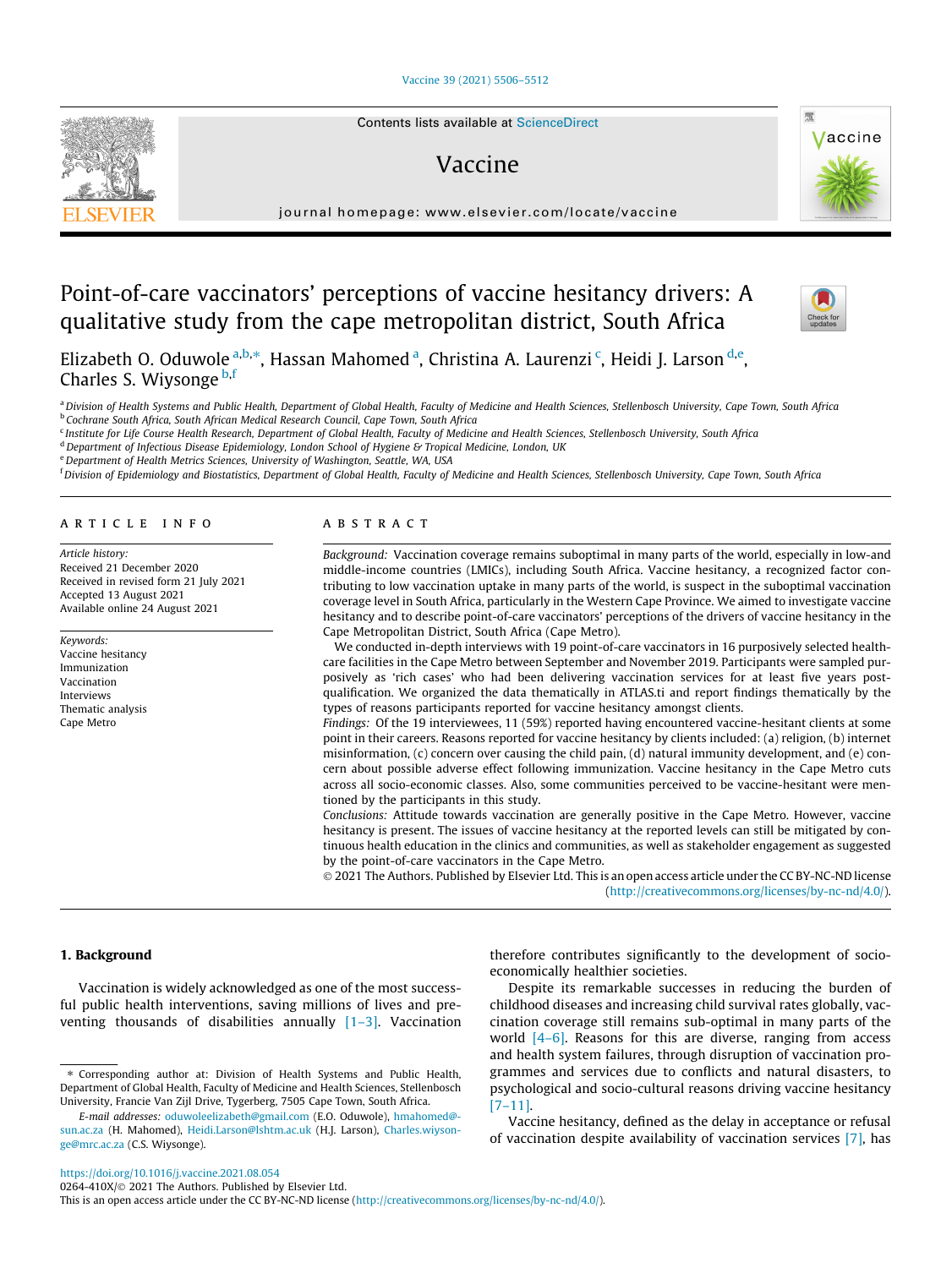## [Vaccine 39 \(2021\) 5506–5512](https://doi.org/10.1016/j.vaccine.2021.08.054)



# Vaccine

journal homepage: [www.elsevier.com/locate/vaccine](http://www.elsevier.com/locate/vaccine)

# Point-of-care vaccinators' perceptions of vaccine hesitancy drivers: A qualitative study from the cape metropolitan district, South Africa



Vaccine



Elizabeth O. Oduwole <sup>a,b,</sup>\*, Hassan Mahomed <sup>a</sup>, Christina A. Laurenzi <sup>c</sup>, Heidi J. Larson <sup>d,e</sup>, Charles S. Wiysonge b,f

a Division of Health Systems and Public Health, Department of Global Health, Faculty of Medicine and Health Sciences, Stellenbosch University, Cape Town, South Africa **b Cochrane South Africa, South African Medical Research Council, Cape Town, South Africa** 

<sup>c</sup> Institute for Life Course Health Research, Department of Global Health, Faculty of Medicine and Health Sciences, Stellenbosch University, South Africa

<sup>d</sup> Department of Infectious Disease Epidemiology, London School of Hygiene & Tropical Medicine, London, UK

e Department of Health Metrics Sciences, University of Washington, Seattle, WA, USA

<sup>f</sup> Division of Epidemiology and Biostatistics, Department of Global Health, Faculty of Medicine and Health Sciences, Stellenbosch University, Cape Town, South Africa

### article info

Article history: Received 21 December 2020 Received in revised form 21 July 2021 Accepted 13 August 2021 Available online 24 August 2021

Keywords: Vaccine hesitancy Immunization Vaccination Interviews Thematic analysis Cape Metro

# A B S T R A C T

Background: Vaccination coverage remains suboptimal in many parts of the world, especially in low-and middle-income countries (LMICs), including South Africa. Vaccine hesitancy, a recognized factor contributing to low vaccination uptake in many parts of the world, is suspect in the suboptimal vaccination coverage level in South Africa, particularly in the Western Cape Province. We aimed to investigate vaccine hesitancy and to describe point-of-care vaccinators' perceptions of the drivers of vaccine hesitancy in the Cape Metropolitan District, South Africa (Cape Metro).

We conducted in-depth interviews with 19 point-of-care vaccinators in 16 purposively selected healthcare facilities in the Cape Metro between September and November 2019. Participants were sampled purposively as 'rich cases' who had been delivering vaccination services for at least five years postqualification. We organized the data thematically in ATLAS.ti and report findings thematically by the types of reasons participants reported for vaccine hesitancy amongst clients.

Findings: Of the 19 interviewees, 11 (59%) reported having encountered vaccine-hesitant clients at some point in their careers. Reasons reported for vaccine hesitancy by clients included: (a) religion, (b) internet misinformation, (c) concern over causing the child pain, (d) natural immunity development, and (e) concern about possible adverse effect following immunization. Vaccine hesitancy in the Cape Metro cuts across all socio-economic classes. Also, some communities perceived to be vaccine-hesitant were mentioned by the participants in this study.

Conclusions: Attitude towards vaccination are generally positive in the Cape Metro. However, vaccine hesitancy is present. The issues of vaccine hesitancy at the reported levels can still be mitigated by continuous health education in the clinics and communities, as well as stakeholder engagement as suggested by the point-of-care vaccinators in the Cape Metro.

 2021 The Authors. Published by Elsevier Ltd. This is an open access article under the CC BY-NC-ND license (<http://creativecommons.org/licenses/by-nc-nd/4.0/>).

## 1. Background

Vaccination is widely acknowledged as one of the most successful public health interventions, saving millions of lives and preventing thousands of disabilities annually  $[1-3]$ . Vaccination

⇑ Corresponding author at: Division of Health Systems and Public Health, Department of Global Health, Faculty of Medicine and Health Sciences, Stellenbosch University, Francie Van Zijl Drive, Tygerberg, 7505 Cape Town, South Africa.

E-mail addresses: [oduwoleelizabeth@gmail.com](mailto:oduwoleelizabeth@gmail.com) (E.O. Oduwole), [hmahomed@](mailto:hmahomed@sun.ac.za) [sun.ac.za](mailto:hmahomed@sun.ac.za) (H. Mahomed), [Heidi.Larson@lshtm.ac.uk](mailto:Heidi.Larson@lshtm.ac.uk) (H.J. Larson), [Charles.wiyson](mailto:Charles.wiysonge@mrc.ac.za)[ge@mrc.ac.za](mailto:Charles.wiysonge@mrc.ac.za) (C.S. Wiysonge).

therefore contributes significantly to the development of socioeconomically healthier societies.

Despite its remarkable successes in reducing the burden of childhood diseases and increasing child survival rates globally, vaccination coverage still remains sub-optimal in many parts of the world [\[4–6\]](#page-5-0). Reasons for this are diverse, ranging from access and health system failures, through disruption of vaccination programmes and services due to conflicts and natural disasters, to psychological and socio-cultural reasons driving vaccine hesitancy [\[7–11\].](#page-5-0)

Vaccine hesitancy, defined as the delay in acceptance or refusal of vaccination despite availability of vaccination services [\[7\],](#page-5-0) has

<https://doi.org/10.1016/j.vaccine.2021.08.054>

0264-410X/ 2021 The Authors. Published by Elsevier Ltd.

This is an open access article under the CC BY-NC-ND license ([http://creativecommons.org/licenses/by-nc-nd/4.0/\)](http://creativecommons.org/licenses/by-nc-nd/4.0/).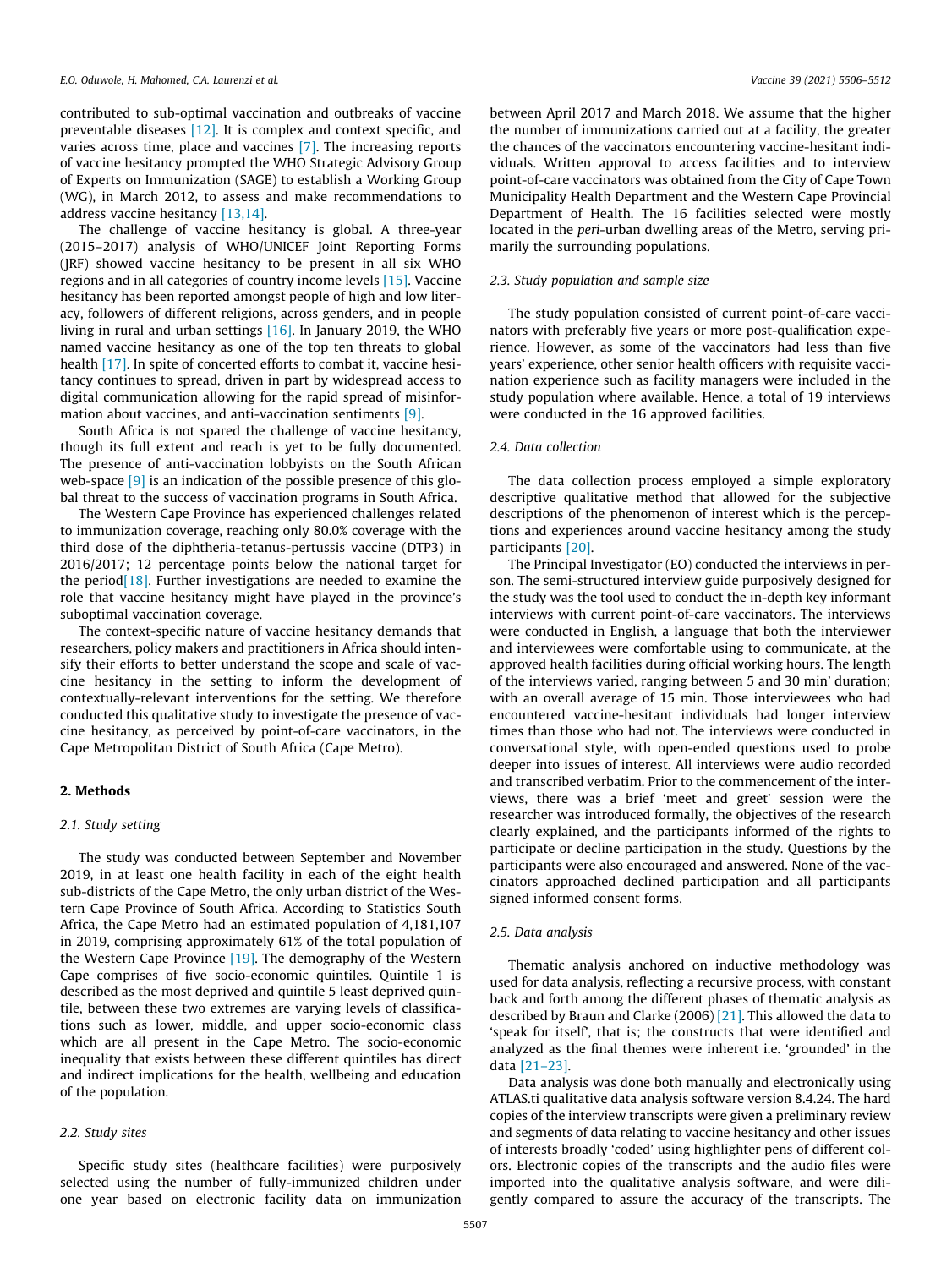contributed to sub-optimal vaccination and outbreaks of vaccine preventable diseases [\[12\]](#page-6-0). It is complex and context specific, and varies across time, place and vaccines [\[7\].](#page-5-0) The increasing reports of vaccine hesitancy prompted the WHO Strategic Advisory Group of Experts on Immunization (SAGE) to establish a Working Group (WG), in March 2012, to assess and make recommendations to address vaccine hesitancy [\[13,14\]](#page-6-0).

The challenge of vaccine hesitancy is global. A three-year (2015–2017) analysis of WHO/UNICEF Joint Reporting Forms (JRF) showed vaccine hesitancy to be present in all six WHO regions and in all categories of country income levels [\[15\]](#page-6-0). Vaccine hesitancy has been reported amongst people of high and low literacy, followers of different religions, across genders, and in people living in rural and urban settings [\[16\].](#page-6-0) In January 2019, the WHO named vaccine hesitancy as one of the top ten threats to global health [\[17\]](#page-6-0). In spite of concerted efforts to combat it, vaccine hesitancy continues to spread, driven in part by widespread access to digital communication allowing for the rapid spread of misinfor-mation about vaccines, and anti-vaccination sentiments [\[9\].](#page-5-0)

South Africa is not spared the challenge of vaccine hesitancy, though its full extent and reach is yet to be fully documented. The presence of anti-vaccination lobbyists on the South African web-space [\[9\]](#page-5-0) is an indication of the possible presence of this global threat to the success of vaccination programs in South Africa.

The Western Cape Province has experienced challenges related to immunization coverage, reaching only 80.0% coverage with the third dose of the diphtheria-tetanus-pertussis vaccine (DTP3) in 2016/2017; 12 percentage points below the national target for the period $[18]$ . Further investigations are needed to examine the role that vaccine hesitancy might have played in the province's suboptimal vaccination coverage.

The context-specific nature of vaccine hesitancy demands that researchers, policy makers and practitioners in Africa should intensify their efforts to better understand the scope and scale of vaccine hesitancy in the setting to inform the development of contextually-relevant interventions for the setting. We therefore conducted this qualitative study to investigate the presence of vaccine hesitancy, as perceived by point-of-care vaccinators, in the Cape Metropolitan District of South Africa (Cape Metro).

# 2. Methods

# 2.1. Study setting

The study was conducted between September and November 2019, in at least one health facility in each of the eight health sub-districts of the Cape Metro, the only urban district of the Western Cape Province of South Africa. According to Statistics South Africa, the Cape Metro had an estimated population of 4,181,107 in 2019, comprising approximately 61% of the total population of the Western Cape Province  $[19]$ . The demography of the Western Cape comprises of five socio-economic quintiles. Quintile 1 is described as the most deprived and quintile 5 least deprived quintile, between these two extremes are varying levels of classifications such as lower, middle, and upper socio-economic class which are all present in the Cape Metro. The socio-economic inequality that exists between these different quintiles has direct and indirect implications for the health, wellbeing and education of the population.

# 2.2. Study sites

Specific study sites (healthcare facilities) were purposively selected using the number of fully-immunized children under one year based on electronic facility data on immunization between April 2017 and March 2018. We assume that the higher the number of immunizations carried out at a facility, the greater the chances of the vaccinators encountering vaccine-hesitant individuals. Written approval to access facilities and to interview point-of-care vaccinators was obtained from the City of Cape Town Municipality Health Department and the Western Cape Provincial Department of Health. The 16 facilities selected were mostly located in the peri-urban dwelling areas of the Metro, serving primarily the surrounding populations.

## 2.3. Study population and sample size

The study population consisted of current point-of-care vaccinators with preferably five years or more post-qualification experience. However, as some of the vaccinators had less than five years' experience, other senior health officers with requisite vaccination experience such as facility managers were included in the study population where available. Hence, a total of 19 interviews were conducted in the 16 approved facilities.

# 2.4. Data collection

The data collection process employed a simple exploratory descriptive qualitative method that allowed for the subjective descriptions of the phenomenon of interest which is the perceptions and experiences around vaccine hesitancy among the study participants [\[20\].](#page-6-0)

The Principal Investigator (EO) conducted the interviews in person. The semi-structured interview guide purposively designed for the study was the tool used to conduct the in-depth key informant interviews with current point-of-care vaccinators. The interviews were conducted in English, a language that both the interviewer and interviewees were comfortable using to communicate, at the approved health facilities during official working hours. The length of the interviews varied, ranging between 5 and 30 min' duration; with an overall average of 15 min. Those interviewees who had encountered vaccine-hesitant individuals had longer interview times than those who had not. The interviews were conducted in conversational style, with open-ended questions used to probe deeper into issues of interest. All interviews were audio recorded and transcribed verbatim. Prior to the commencement of the interviews, there was a brief 'meet and greet' session were the researcher was introduced formally, the objectives of the research clearly explained, and the participants informed of the rights to participate or decline participation in the study. Questions by the participants were also encouraged and answered. None of the vaccinators approached declined participation and all participants signed informed consent forms.

#### 2.5. Data analysis

Thematic analysis anchored on inductive methodology was used for data analysis, reflecting a recursive process, with constant back and forth among the different phases of thematic analysis as described by Braun and Clarke (2006) [\[21\]](#page-6-0). This allowed the data to 'speak for itself', that is; the constructs that were identified and analyzed as the final themes were inherent i.e. 'grounded' in the data [\[21–23\]](#page-6-0).

Data analysis was done both manually and electronically using ATLAS.ti qualitative data analysis software version 8.4.24. The hard copies of the interview transcripts were given a preliminary review and segments of data relating to vaccine hesitancy and other issues of interests broadly 'coded' using highlighter pens of different colors. Electronic copies of the transcripts and the audio files were imported into the qualitative analysis software, and were diligently compared to assure the accuracy of the transcripts. The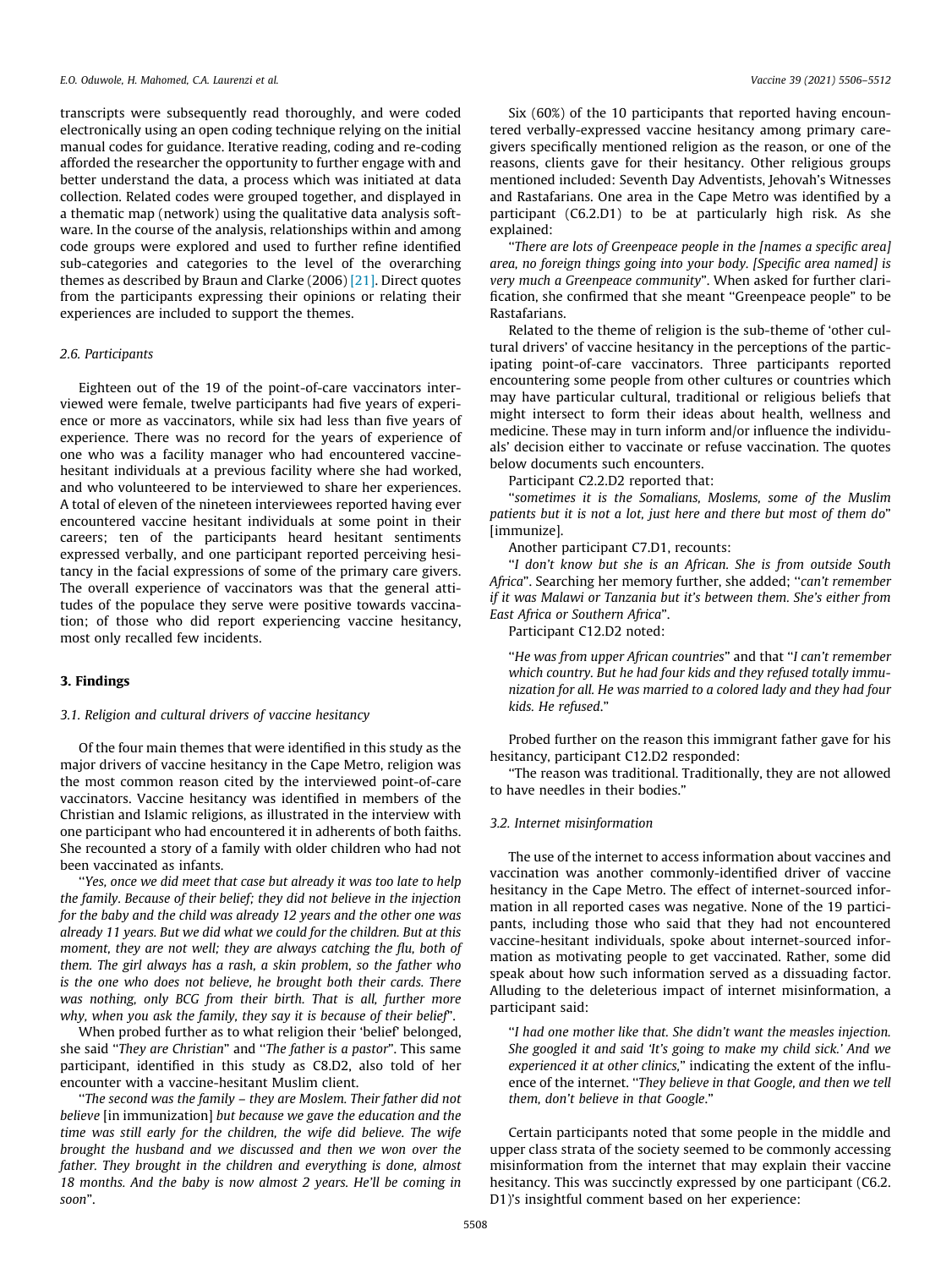transcripts were subsequently read thoroughly, and were coded electronically using an open coding technique relying on the initial manual codes for guidance. Iterative reading, coding and re-coding afforded the researcher the opportunity to further engage with and better understand the data, a process which was initiated at data collection. Related codes were grouped together, and displayed in a thematic map (network) using the qualitative data analysis software. In the course of the analysis, relationships within and among code groups were explored and used to further refine identified sub-categories and categories to the level of the overarching themes as described by Braun and Clarke (2006) [\[21\].](#page-6-0) Direct quotes from the participants expressing their opinions or relating their experiences are included to support the themes.

## 2.6. Participants

Eighteen out of the 19 of the point-of-care vaccinators interviewed were female, twelve participants had five years of experience or more as vaccinators, while six had less than five years of experience. There was no record for the years of experience of one who was a facility manager who had encountered vaccinehesitant individuals at a previous facility where she had worked, and who volunteered to be interviewed to share her experiences. A total of eleven of the nineteen interviewees reported having ever encountered vaccine hesitant individuals at some point in their careers; ten of the participants heard hesitant sentiments expressed verbally, and one participant reported perceiving hesitancy in the facial expressions of some of the primary care givers. The overall experience of vaccinators was that the general attitudes of the populace they serve were positive towards vaccination; of those who did report experiencing vaccine hesitancy, most only recalled few incidents.

## 3. Findings

#### 3.1. Religion and cultural drivers of vaccine hesitancy

Of the four main themes that were identified in this study as the major drivers of vaccine hesitancy in the Cape Metro, religion was the most common reason cited by the interviewed point-of-care vaccinators. Vaccine hesitancy was identified in members of the Christian and Islamic religions, as illustrated in the interview with one participant who had encountered it in adherents of both faiths. She recounted a story of a family with older children who had not been vaccinated as infants.

''Yes, once we did meet that case but already it was too late to help the family. Because of their belief; they did not believe in the injection for the baby and the child was already 12 years and the other one was already 11 years. But we did what we could for the children. But at this moment, they are not well; they are always catching the flu, both of them. The girl always has a rash, a skin problem, so the father who is the one who does not believe, he brought both their cards. There was nothing, only BCG from their birth. That is all, further more why, when you ask the family, they say it is because of their belief".

When probed further as to what religion their 'belief' belonged, she said ''They are Christian" and ''The father is a pastor". This same participant, identified in this study as C8.D2, also told of her encounter with a vaccine-hesitant Muslim client.

''The second was the family – they are Moslem. Their father did not believe [in immunization] but because we gave the education and the time was still early for the children, the wife did believe. The wife brought the husband and we discussed and then we won over the father. They brought in the children and everything is done, almost 18 months. And the baby is now almost 2 years. He'll be coming in soon".

Six (60%) of the 10 participants that reported having encountered verbally-expressed vaccine hesitancy among primary caregivers specifically mentioned religion as the reason, or one of the reasons, clients gave for their hesitancy. Other religious groups mentioned included: Seventh Day Adventists, Jehovah's Witnesses and Rastafarians. One area in the Cape Metro was identified by a participant (C6.2.D1) to be at particularly high risk. As she explained:

''There are lots of Greenpeace people in the [names a specific area] area, no foreign things going into your body. [Specific area named] is very much a Greenpeace community". When asked for further clarification, she confirmed that she meant ''Greenpeace people" to be Rastafarians.

Related to the theme of religion is the sub-theme of 'other cultural drivers' of vaccine hesitancy in the perceptions of the participating point-of-care vaccinators. Three participants reported encountering some people from other cultures or countries which may have particular cultural, traditional or religious beliefs that might intersect to form their ideas about health, wellness and medicine. These may in turn inform and/or influence the individuals' decision either to vaccinate or refuse vaccination. The quotes below documents such encounters.

Participant C2.2.D2 reported that:

''sometimes it is the Somalians, Moslems, some of the Muslim patients but it is not a lot, just here and there but most of them do" [immunize].

Another participant C7.D1, recounts:

''I don't know but she is an African. She is from outside South Africa". Searching her memory further, she added; ''can't remember if it was Malawi or Tanzania but it's between them. She's either from East Africa or Southern Africa".

Participant C12.D2 noted:

''He was from upper African countries" and that ''I can't remember which country. But he had four kids and they refused totally immunization for all. He was married to a colored lady and they had four kids. He refused."

Probed further on the reason this immigrant father gave for his hesitancy, participant C12.D2 responded:

''The reason was traditional. Traditionally, they are not allowed to have needles in their bodies."

## 3.2. Internet misinformation

The use of the internet to access information about vaccines and vaccination was another commonly-identified driver of vaccine hesitancy in the Cape Metro. The effect of internet-sourced information in all reported cases was negative. None of the 19 participants, including those who said that they had not encountered vaccine-hesitant individuals, spoke about internet-sourced information as motivating people to get vaccinated. Rather, some did speak about how such information served as a dissuading factor. Alluding to the deleterious impact of internet misinformation, a participant said:

''I had one mother like that. She didn't want the measles injection. She googled it and said 'It's going to make my child sick.' And we experienced it at other clinics," indicating the extent of the influence of the internet. ''They believe in that Google, and then we tell them, don't believe in that Google."

Certain participants noted that some people in the middle and upper class strata of the society seemed to be commonly accessing misinformation from the internet that may explain their vaccine hesitancy. This was succinctly expressed by one participant (C6.2. D1)'s insightful comment based on her experience: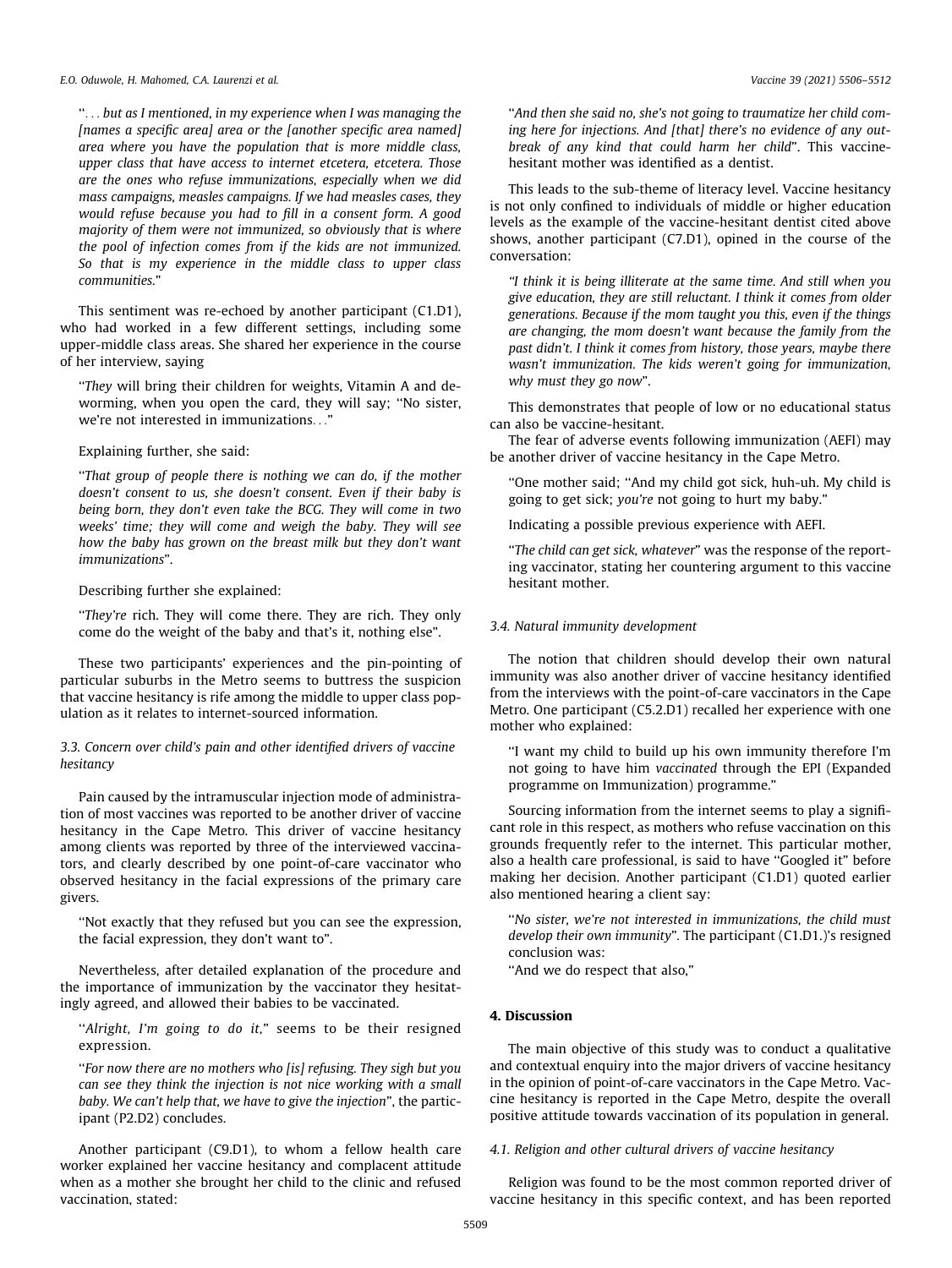''... but as I mentioned, in my experience when I was managing the [names a specific area] area or the [another specific area named] area where you have the population that is more middle class, upper class that have access to internet etcetera, etcetera. Those are the ones who refuse immunizations, especially when we did mass campaigns, measles campaigns. If we had measles cases, they would refuse because you had to fill in a consent form. A good majority of them were not immunized, so obviously that is where the pool of infection comes from if the kids are not immunized. So that is my experience in the middle class to upper class communities."

This sentiment was re-echoed by another participant (C1.D1), who had worked in a few different settings, including some upper-middle class areas. She shared her experience in the course of her interview, saying

"They will bring their children for weights, Vitamin A and deworming, when you open the card, they will say; ''No sister, we're not interested in immunizations...

## Explaining further, she said:

''That group of people there is nothing we can do, if the mother doesn't consent to us, she doesn't consent. Even if their baby is being born, they don't even take the BCG. They will come in two weeks' time; they will come and weigh the baby. They will see how the baby has grown on the breast milk but they don't want immunizations".

#### Describing further she explained:

"They're rich. They will come there. They are rich. They only come do the weight of the baby and that's it, nothing else".

These two participants' experiences and the pin-pointing of particular suburbs in the Metro seems to buttress the suspicion that vaccine hesitancy is rife among the middle to upper class population as it relates to internet-sourced information.

# 3.3. Concern over child's pain and other identified drivers of vaccine hesitancy

Pain caused by the intramuscular injection mode of administration of most vaccines was reported to be another driver of vaccine hesitancy in the Cape Metro. This driver of vaccine hesitancy among clients was reported by three of the interviewed vaccinators, and clearly described by one point-of-care vaccinator who observed hesitancy in the facial expressions of the primary care givers.

''Not exactly that they refused but you can see the expression, the facial expression, they don't want to".

Nevertheless, after detailed explanation of the procedure and the importance of immunization by the vaccinator they hesitatingly agreed, and allowed their babies to be vaccinated.

"Alright, I'm going to do it," seems to be their resigned expression.

''For now there are no mothers who [is] refusing. They sigh but you can see they think the injection is not nice working with a small baby. We can't help that, we have to give the injection", the participant (P2.D2) concludes.

Another participant (C9.D1), to whom a fellow health care worker explained her vaccine hesitancy and complacent attitude when as a mother she brought her child to the clinic and refused vaccination, stated:

''And then she said no, she's not going to traumatize her child coming here for injections. And [that] there's no evidence of any outbreak of any kind that could harm her child". This vaccinehesitant mother was identified as a dentist.

This leads to the sub-theme of literacy level. Vaccine hesitancy is not only confined to individuals of middle or higher education levels as the example of the vaccine-hesitant dentist cited above shows, another participant (C7.D1), opined in the course of the conversation:

''I think it is being illiterate at the same time. And still when you give education, they are still reluctant. I think it comes from older generations. Because if the mom taught you this, even if the things are changing, the mom doesn't want because the family from the past didn't. I think it comes from history, those years, maybe there wasn't immunization. The kids weren't going for immunization, why must they go now".

This demonstrates that people of low or no educational status can also be vaccine-hesitant.

The fear of adverse events following immunization (AEFI) may be another driver of vaccine hesitancy in the Cape Metro.

''One mother said; ''And my child got sick, huh-uh. My child is going to get sick; you're not going to hurt my baby."

Indicating a possible previous experience with AEFI.

"The child can get sick, whatever" was the response of the reporting vaccinator, stating her countering argument to this vaccine hesitant mother.

## 3.4. Natural immunity development

The notion that children should develop their own natural immunity was also another driver of vaccine hesitancy identified from the interviews with the point-of-care vaccinators in the Cape Metro. One participant (C5.2.D1) recalled her experience with one mother who explained:

''I want my child to build up his own immunity therefore I'm not going to have him vaccinated through the EPI (Expanded programme on Immunization) programme."

Sourcing information from the internet seems to play a significant role in this respect, as mothers who refuse vaccination on this grounds frequently refer to the internet. This particular mother, also a health care professional, is said to have ''Googled it" before making her decision. Another participant (C1.D1) quoted earlier also mentioned hearing a client say:

''No sister, we're not interested in immunizations, the child must develop their own immunity". The participant (C1.D1.)'s resigned conclusion was:

"And we do respect that also,"

# 4. Discussion

The main objective of this study was to conduct a qualitative and contextual enquiry into the major drivers of vaccine hesitancy in the opinion of point-of-care vaccinators in the Cape Metro. Vaccine hesitancy is reported in the Cape Metro, despite the overall positive attitude towards vaccination of its population in general.

# 4.1. Religion and other cultural drivers of vaccine hesitancy

Religion was found to be the most common reported driver of vaccine hesitancy in this specific context, and has been reported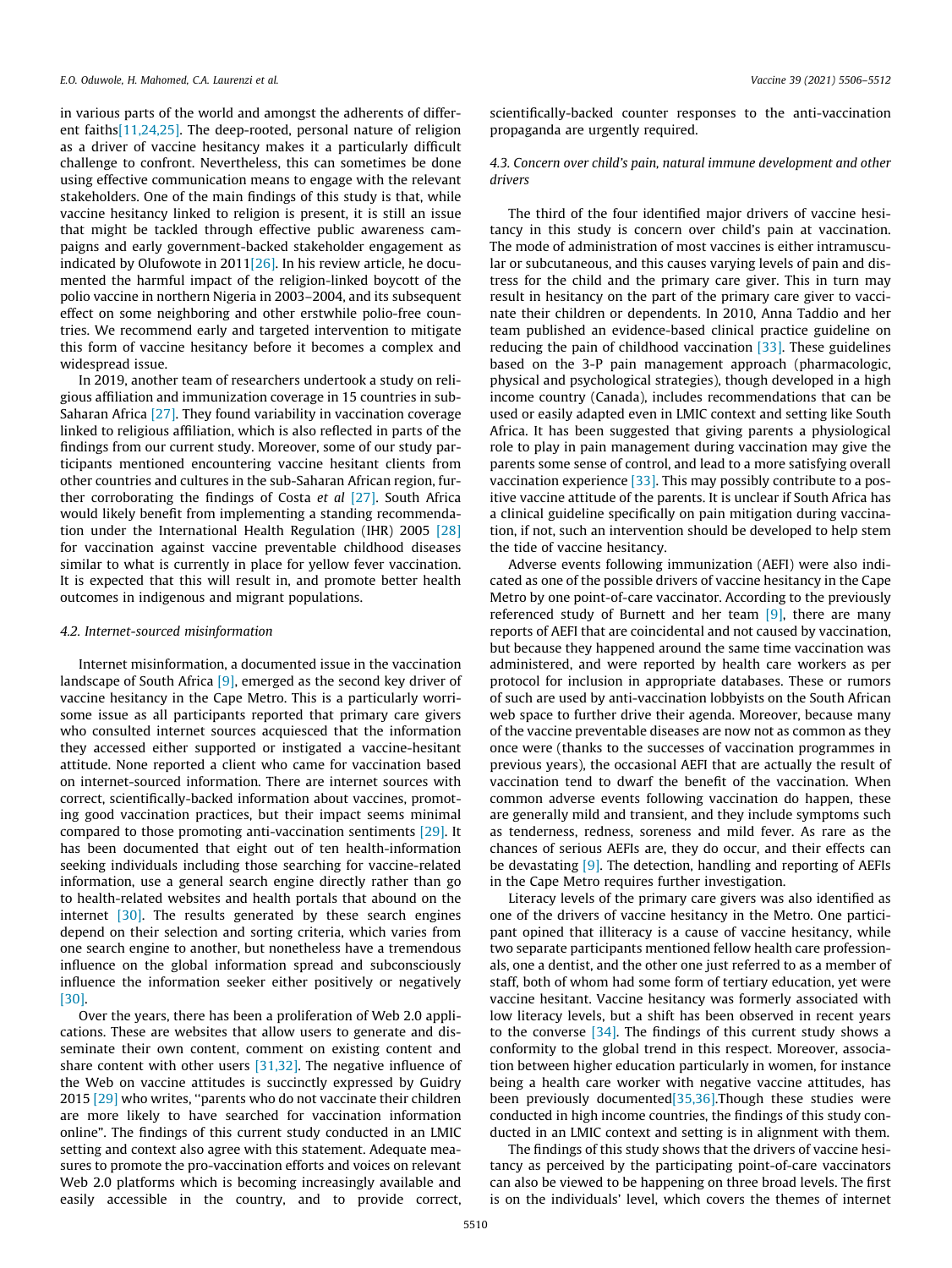in various parts of the world and amongst the adherents of different faith[s\[11,24,25\]](#page-6-0). The deep-rooted, personal nature of religion as a driver of vaccine hesitancy makes it a particularly difficult challenge to confront. Nevertheless, this can sometimes be done using effective communication means to engage with the relevant stakeholders. One of the main findings of this study is that, while vaccine hesitancy linked to religion is present, it is still an issue that might be tackled through effective public awareness campaigns and early government-backed stakeholder engagement as indicated by Olufowote in 2011[\[26\]](#page-6-0). In his review article, he documented the harmful impact of the religion-linked boycott of the polio vaccine in northern Nigeria in 2003–2004, and its subsequent effect on some neighboring and other erstwhile polio-free countries. We recommend early and targeted intervention to mitigate this form of vaccine hesitancy before it becomes a complex and widespread issue.

In 2019, another team of researchers undertook a study on religious affiliation and immunization coverage in 15 countries in sub-Saharan Africa  $[27]$ . They found variability in vaccination coverage linked to religious affiliation, which is also reflected in parts of the findings from our current study. Moreover, some of our study participants mentioned encountering vaccine hesitant clients from other countries and cultures in the sub-Saharan African region, further corroborating the findings of Costa et al [\[27\]](#page-6-0). South Africa would likely benefit from implementing a standing recommendation under the International Health Regulation (IHR) 2005 [\[28\]](#page-6-0) for vaccination against vaccine preventable childhood diseases similar to what is currently in place for yellow fever vaccination. It is expected that this will result in, and promote better health outcomes in indigenous and migrant populations.

#### 4.2. Internet-sourced misinformation

Internet misinformation, a documented issue in the vaccination landscape of South Africa [\[9\],](#page-5-0) emerged as the second key driver of vaccine hesitancy in the Cape Metro. This is a particularly worrisome issue as all participants reported that primary care givers who consulted internet sources acquiesced that the information they accessed either supported or instigated a vaccine-hesitant attitude. None reported a client who came for vaccination based on internet-sourced information. There are internet sources with correct, scientifically-backed information about vaccines, promoting good vaccination practices, but their impact seems minimal compared to those promoting anti-vaccination sentiments [\[29\]](#page-6-0). It has been documented that eight out of ten health-information seeking individuals including those searching for vaccine-related information, use a general search engine directly rather than go to health-related websites and health portals that abound on the internet [\[30\].](#page-6-0) The results generated by these search engines depend on their selection and sorting criteria, which varies from one search engine to another, but nonetheless have a tremendous influence on the global information spread and subconsciously influence the information seeker either positively or negatively [\[30\]](#page-6-0).

Over the years, there has been a proliferation of Web 2.0 applications. These are websites that allow users to generate and disseminate their own content, comment on existing content and share content with other users [\[31,32\]](#page-6-0). The negative influence of the Web on vaccine attitudes is succinctly expressed by Guidry 2015 [\[29\]](#page-6-0) who writes, ''parents who do not vaccinate their children are more likely to have searched for vaccination information online". The findings of this current study conducted in an LMIC setting and context also agree with this statement. Adequate measures to promote the pro-vaccination efforts and voices on relevant Web 2.0 platforms which is becoming increasingly available and easily accessible in the country, and to provide correct,

scientifically-backed counter responses to the anti-vaccination propaganda are urgently required.

# 4.3. Concern over child's pain, natural immune development and other drivers

The third of the four identified major drivers of vaccine hesitancy in this study is concern over child's pain at vaccination. The mode of administration of most vaccines is either intramuscular or subcutaneous, and this causes varying levels of pain and distress for the child and the primary care giver. This in turn may result in hesitancy on the part of the primary care giver to vaccinate their children or dependents. In 2010, Anna Taddio and her team published an evidence-based clinical practice guideline on reducing the pain of childhood vaccination [\[33\]](#page-6-0). These guidelines based on the 3-P pain management approach (pharmacologic, physical and psychological strategies), though developed in a high income country (Canada), includes recommendations that can be used or easily adapted even in LMIC context and setting like South Africa. It has been suggested that giving parents a physiological role to play in pain management during vaccination may give the parents some sense of control, and lead to a more satisfying overall vaccination experience [\[33\]](#page-6-0). This may possibly contribute to a positive vaccine attitude of the parents. It is unclear if South Africa has a clinical guideline specifically on pain mitigation during vaccination, if not, such an intervention should be developed to help stem the tide of vaccine hesitancy.

Adverse events following immunization (AEFI) were also indicated as one of the possible drivers of vaccine hesitancy in the Cape Metro by one point-of-care vaccinator. According to the previously referenced study of Burnett and her team  $[9]$ , there are many reports of AEFI that are coincidental and not caused by vaccination, but because they happened around the same time vaccination was administered, and were reported by health care workers as per protocol for inclusion in appropriate databases. These or rumors of such are used by anti-vaccination lobbyists on the South African web space to further drive their agenda. Moreover, because many of the vaccine preventable diseases are now not as common as they once were (thanks to the successes of vaccination programmes in previous years), the occasional AEFI that are actually the result of vaccination tend to dwarf the benefit of the vaccination. When common adverse events following vaccination do happen, these are generally mild and transient, and they include symptoms such as tenderness, redness, soreness and mild fever. As rare as the chances of serious AEFIs are, they do occur, and their effects can be devastating [\[9\]](#page-5-0). The detection, handling and reporting of AEFIs in the Cape Metro requires further investigation.

Literacy levels of the primary care givers was also identified as one of the drivers of vaccine hesitancy in the Metro. One participant opined that illiteracy is a cause of vaccine hesitancy, while two separate participants mentioned fellow health care professionals, one a dentist, and the other one just referred to as a member of staff, both of whom had some form of tertiary education, yet were vaccine hesitant. Vaccine hesitancy was formerly associated with low literacy levels, but a shift has been observed in recent years to the converse [\[34\].](#page-6-0) The findings of this current study shows a conformity to the global trend in this respect. Moreover, association between higher education particularly in women, for instance being a health care worker with negative vaccine attitudes, has been previously documented<sup>[35,36]</sup>.Though these studies were conducted in high income countries, the findings of this study conducted in an LMIC context and setting is in alignment with them.

The findings of this study shows that the drivers of vaccine hesitancy as perceived by the participating point-of-care vaccinators can also be viewed to be happening on three broad levels. The first is on the individuals' level, which covers the themes of internet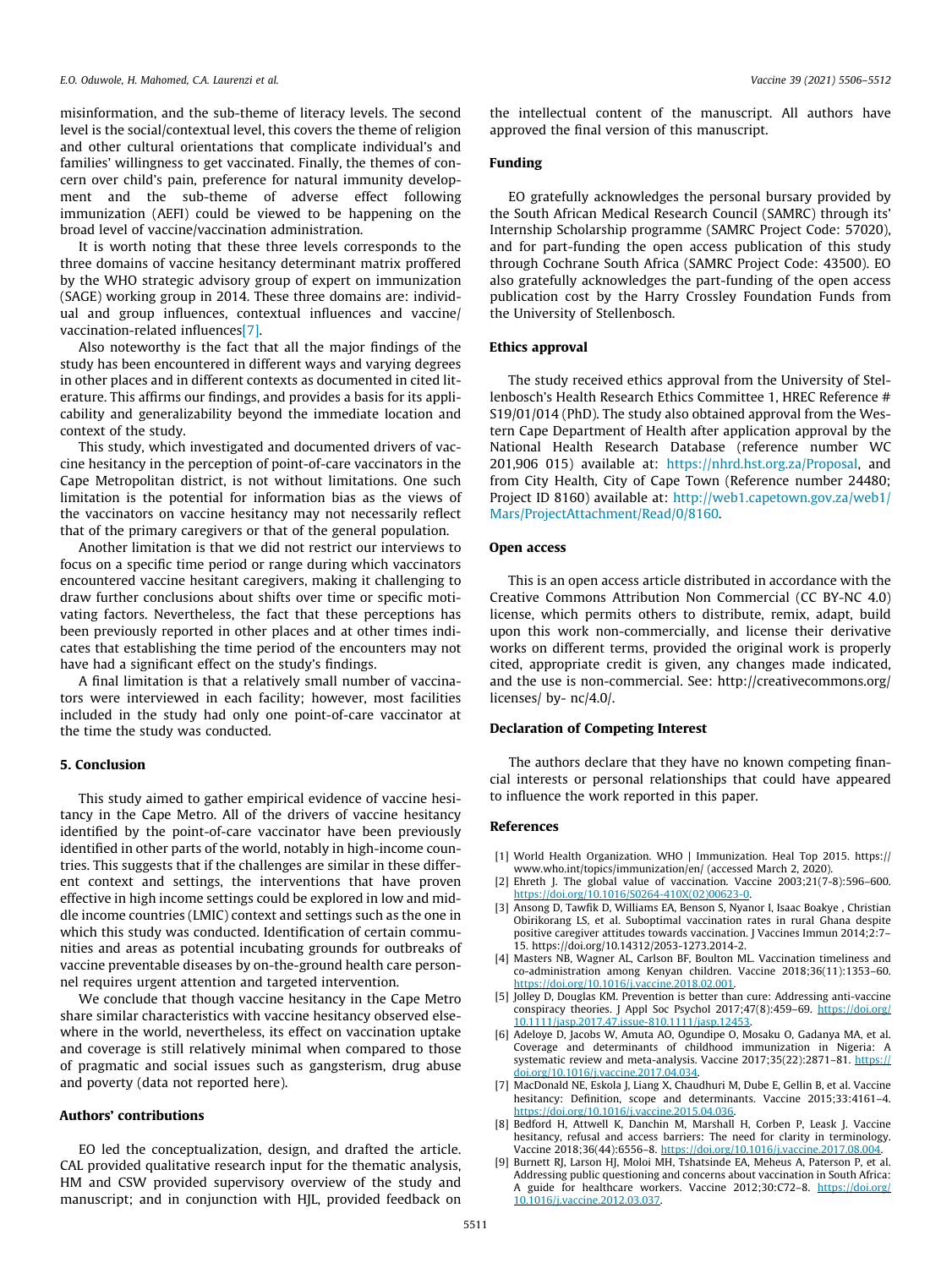<span id="page-5-0"></span>misinformation, and the sub-theme of literacy levels. The second level is the social/contextual level, this covers the theme of religion and other cultural orientations that complicate individual's and families' willingness to get vaccinated. Finally, the themes of concern over child's pain, preference for natural immunity development and the sub-theme of adverse effect following immunization (AEFI) could be viewed to be happening on the broad level of vaccine/vaccination administration.

It is worth noting that these three levels corresponds to the three domains of vaccine hesitancy determinant matrix proffered by the WHO strategic advisory group of expert on immunization (SAGE) working group in 2014. These three domains are: individual and group influences, contextual influences and vaccine/ vaccination-related influences[7].

Also noteworthy is the fact that all the major findings of the study has been encountered in different ways and varying degrees in other places and in different contexts as documented in cited literature. This affirms our findings, and provides a basis for its applicability and generalizability beyond the immediate location and context of the study.

This study, which investigated and documented drivers of vaccine hesitancy in the perception of point-of-care vaccinators in the Cape Metropolitan district, is not without limitations. One such limitation is the potential for information bias as the views of the vaccinators on vaccine hesitancy may not necessarily reflect that of the primary caregivers or that of the general population.

Another limitation is that we did not restrict our interviews to focus on a specific time period or range during which vaccinators encountered vaccine hesitant caregivers, making it challenging to draw further conclusions about shifts over time or specific motivating factors. Nevertheless, the fact that these perceptions has been previously reported in other places and at other times indicates that establishing the time period of the encounters may not have had a significant effect on the study's findings.

A final limitation is that a relatively small number of vaccinators were interviewed in each facility; however, most facilities included in the study had only one point-of-care vaccinator at the time the study was conducted.

#### 5. Conclusion

This study aimed to gather empirical evidence of vaccine hesitancy in the Cape Metro. All of the drivers of vaccine hesitancy identified by the point-of-care vaccinator have been previously identified in other parts of the world, notably in high-income countries. This suggests that if the challenges are similar in these different context and settings, the interventions that have proven effective in high income settings could be explored in low and middle income countries (LMIC) context and settings such as the one in which this study was conducted. Identification of certain communities and areas as potential incubating grounds for outbreaks of vaccine preventable diseases by on-the-ground health care personnel requires urgent attention and targeted intervention.

We conclude that though vaccine hesitancy in the Cape Metro share similar characteristics with vaccine hesitancy observed elsewhere in the world, nevertheless, its effect on vaccination uptake and coverage is still relatively minimal when compared to those of pragmatic and social issues such as gangsterism, drug abuse and poverty (data not reported here).

## Authors' contributions

EO led the conceptualization, design, and drafted the article. CAL provided qualitative research input for the thematic analysis, HM and CSW provided supervisory overview of the study and manuscript; and in conjunction with HJL, provided feedback on

the intellectual content of the manuscript. All authors have approved the final version of this manuscript.

# Funding

EO gratefully acknowledges the personal bursary provided by the South African Medical Research Council (SAMRC) through its' Internship Scholarship programme (SAMRC Project Code: 57020), and for part-funding the open access publication of this study through Cochrane South Africa (SAMRC Project Code: 43500). EO also gratefully acknowledges the part-funding of the open access publication cost by the Harry Crossley Foundation Funds from the University of Stellenbosch.

## Ethics approval

The study received ethics approval from the University of Stellenbosch's Health Research Ethics Committee 1, HREC Reference # S19/01/014 (PhD). The study also obtained approval from the Western Cape Department of Health after application approval by the National Health Research Database (reference number WC 201,906 015) available at: [https://nhrd.hst.org.za/Proposal,](https://nhrd.hst.org.za/Proposal) and from City Health, City of Cape Town (Reference number 24480; Project ID 8160) available at: [http://web1.capetown.gov.za/web1/](http://web1.capetown.gov.za/web1/Mars/ProjectAttachment/Read/0/8160) [Mars/ProjectAttachment/Read/0/8160.](http://web1.capetown.gov.za/web1/Mars/ProjectAttachment/Read/0/8160)

#### Open access

This is an open access article distributed in accordance with the Creative Commons Attribution Non Commercial (CC BY-NC 4.0) license, which permits others to distribute, remix, adapt, build upon this work non-commercially, and license their derivative works on different terms, provided the original work is properly cited, appropriate credit is given, any changes made indicated, and the use is non-commercial. See: http://creativecommons.org/ licenses/ by- nc/4.0/.

## Declaration of Competing Interest

The authors declare that they have no known competing financial interests or personal relationships that could have appeared to influence the work reported in this paper.

#### References

- [1] World Health Organization. WHO | Immunization. Heal Top 2015. https:// www.who.int/topics/immunization/en/ (accessed March 2, 2020).
- [2] Ehreth J. The global value of vaccination. Vaccine 2003;21(7-8):596–600. oi.org/10.1016/S0264-410X(02)00623-0.
- [3] Ansong D, Tawfik D, Williams EA, Benson S, Nyanor I, Isaac Boakye , Christian Obirikorang LS, et al. Suboptimal vaccination rates in rural Ghana despite positive caregiver attitudes towards vaccination. J Vaccines Immun 2014;2:7-15. https://doi.org/10.14312/2053-1273.2014-2.
- [4] Masters NB, Wagner AL, Carlson BF, Boulton ML. Vaccination timeliness and co-administration among Kenyan children. Vaccine 2018;36(11):1353–60. <https://doi.org/10.1016/j.vaccine.2018.02.001>.
- [5] Jolley D, Douglas KM. Prevention is better than cure: Addressing anti-vaccine conspiracy theories. J Appl Soc Psychol 2017;47(8):459–69. [https://doi.org/](https://doi.org/10.1111/jasp.2017.47.issue-810.1111/jasp.12453)<br>10.1111/jasp.2017.47.issue-810.1111/jasp.12453. 10.1111/jasp.2017.47
- [6] Adeloye D, Jacobs W, Amuta AO, Ogundipe O, Mosaku O, Gadanya MA, et al. Coverage and determinants of childhood immunization in Nigeria: A systematic review and meta-analysis. Vaccine 2017;35(22):2871-81. [https://](https://doi.org/10.1016/j.vaccine.2017.04.034) [doi.org/10.1016/j.vaccine.2017.04.034](https://doi.org/10.1016/j.vaccine.2017.04.034).
- [7] MacDonald NE, Eskola J, Liang X, Chaudhuri M, Dube E, Gellin B, et al. Vaccine hesitancy: Definition, scope and determinants. Vaccine 2015;33:4161–4. <https://doi.org/10.1016/j.vaccine.2015.04.036>.
- [8] Bedford H, Attwell K, Danchin M, Marshall H, Corben P, Leask J. Vaccine hesitancy, refusal and access barriers: The need for clarity in terminology. Vaccine 2018;36(44):6556–8. <https://doi.org/10.1016/j.vaccine.2017.08.004>.
- [9] Burnett RJ, Larson HJ, Moloi MH, Tshatsinde EA, Meheus A, Paterson P, et al. Addressing public questioning and concerns about vaccination in South Africa: A guide for healthcare workers. Vaccine 2012;30:C72-8. [https://doi.org/](https://doi.org/10.1016/j.vaccine.2012.03.037) [10.1016/j.vaccine.2012.03.037](https://doi.org/10.1016/j.vaccine.2012.03.037).